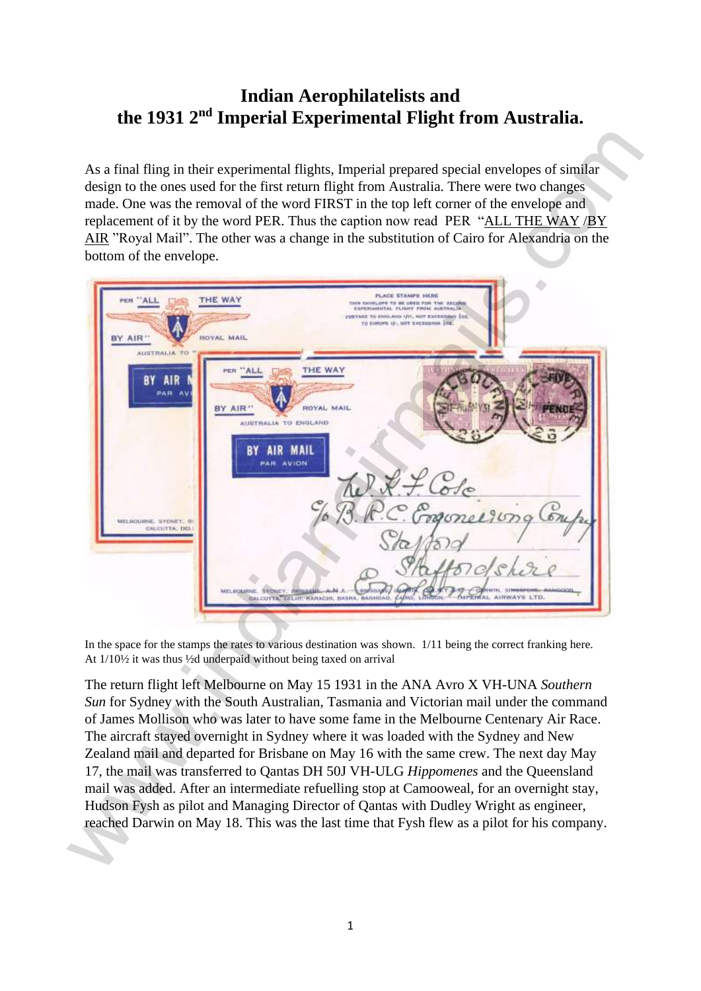## **Indian Aerophilatelists and the 1931 2nd Imperial Experimental Flight from Australia.**

| bottom of the envelope.                                                   | As a final fling in their experimental flights, Imperial prepared special envelopes of similar<br>design to the ones used for the first return flight from Australia. There were two changes<br>made. One was the removal of the word FIRST in the top left corner of the envelope and<br>replacement of it by the word PER. Thus the caption now read PER "ALL THE WAY /BY<br>AIR "Royal Mail". The other was a change in the substitution of Cairo for Alexandria on the                                                                                                                                                                                                                                                                                                                                                        |
|---------------------------------------------------------------------------|-----------------------------------------------------------------------------------------------------------------------------------------------------------------------------------------------------------------------------------------------------------------------------------------------------------------------------------------------------------------------------------------------------------------------------------------------------------------------------------------------------------------------------------------------------------------------------------------------------------------------------------------------------------------------------------------------------------------------------------------------------------------------------------------------------------------------------------|
| PER ALL<br><b>AIR</b>                                                     | PLACE STAMPS HERE<br>THE WAY<br>THIS ENVELOPE TO BE USED FOR THE SECOND<br>EXPERIMENTAL FLIGHT FROM NUSTRALIA<br>DETAGE TO ENGLAND 1/11, NOT EXCEEDING INT<br>TO EMMOPH IF, NOT ENCERNMEN ITE.<br>HOYAL MAIL                                                                                                                                                                                                                                                                                                                                                                                                                                                                                                                                                                                                                      |
| <b>AUSTRALIA</b><br>PAR<br>MELBOURNE, SYDNEY, BI<br><b>CALCUTTA: DELI</b> | THE WAY<br>PER<br>"ALL<br>BY AIR'<br>ROYAL MAIL<br>AUSTRALIA TO ENGLAND<br>MAIL<br><b>PAR AVION</b><br>monee 200<br>MELDOLUME, SYDNEY, BRISBANK, AvM.A.<br><b>IMPERIAL AIRWAYS</b><br><b>CALCUTTA, DELIIT, KANACHI, BASHA, BASHDAD,</b><br><b>CAFRO</b>                                                                                                                                                                                                                                                                                                                                                                                                                                                                                                                                                                           |
|                                                                           | In the space for the stamps the rates to various destination was shown. 1/11 being the correct franking here.<br>At 1/10½ it was thus 1/2d underpaid without being taxed on arrival                                                                                                                                                                                                                                                                                                                                                                                                                                                                                                                                                                                                                                               |
|                                                                           | The return flight left Melbourne on May 15 1931 in the ANA Avro X VH-UNA Southern<br>Sun for Sydney with the South Australian, Tasmania and Victorian mail under the command<br>of James Mollison who was later to have some fame in the Melbourne Centenary Air Race.<br>The aircraft stayed overnight in Sydney where it was loaded with the Sydney and New<br>Zealand mail and departed for Brisbane on May 16 with the same crew. The next day May<br>17, the mail was transferred to Qantas DH 50J VH-ULG Hippomenes and the Queensland<br>mail was added. After an intermediate refuelling stop at Camooweal, for an overnight stay,<br>Hudson Fysh as pilot and Managing Director of Qantas with Dudley Wright as engineer,<br>reached Darwin on May 18. This was the last time that Fysh flew as a pilot for his company. |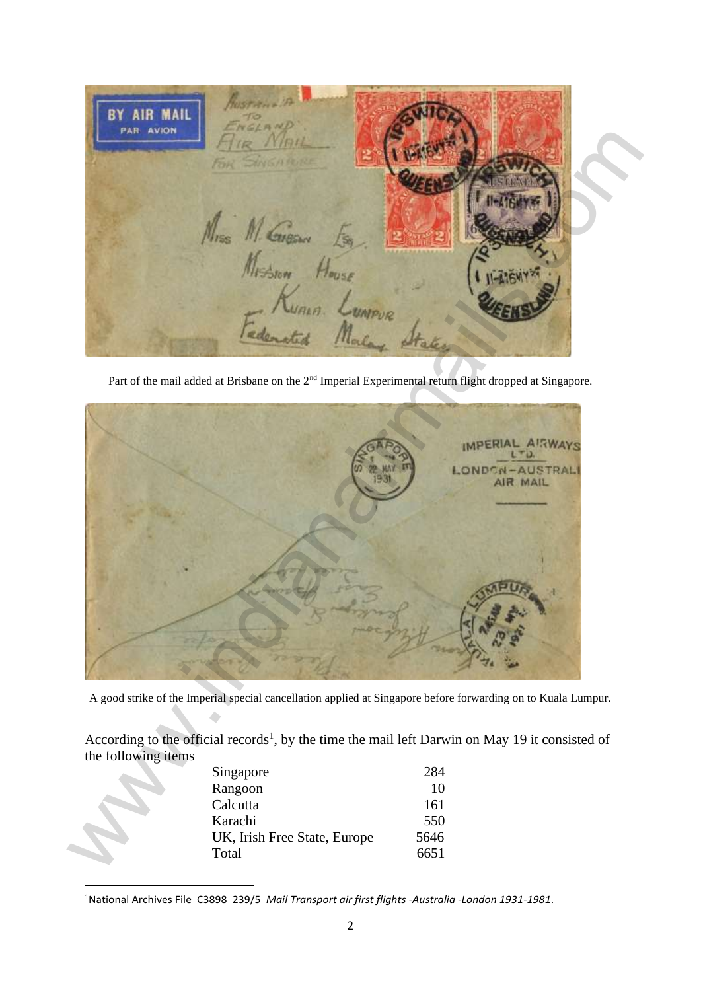BY AIR MAI

Part of the mail added at Brisbane on the 2<sup>nd</sup> Imperial Experimental return flight dropped at Singapore.



A good strike of the Imperial special cancellation applied at Singapore before forwarding on to Kuala Lumpur.

According to the official records<sup>1</sup>, by the time the mail left Darwin on May 19 it consisted of the following items

| Singapore                    | 284  |
|------------------------------|------|
| Rangoon                      | 10   |
| Calcutta                     | 161  |
| Karachi                      | 550  |
| UK, Irish Free State, Europe | 5646 |
| Total                        | 6651 |

<sup>&</sup>lt;sup>1</sup>National Archives File C3898 239/5 Mail Transport air first flights -Australia -London 1931-1981.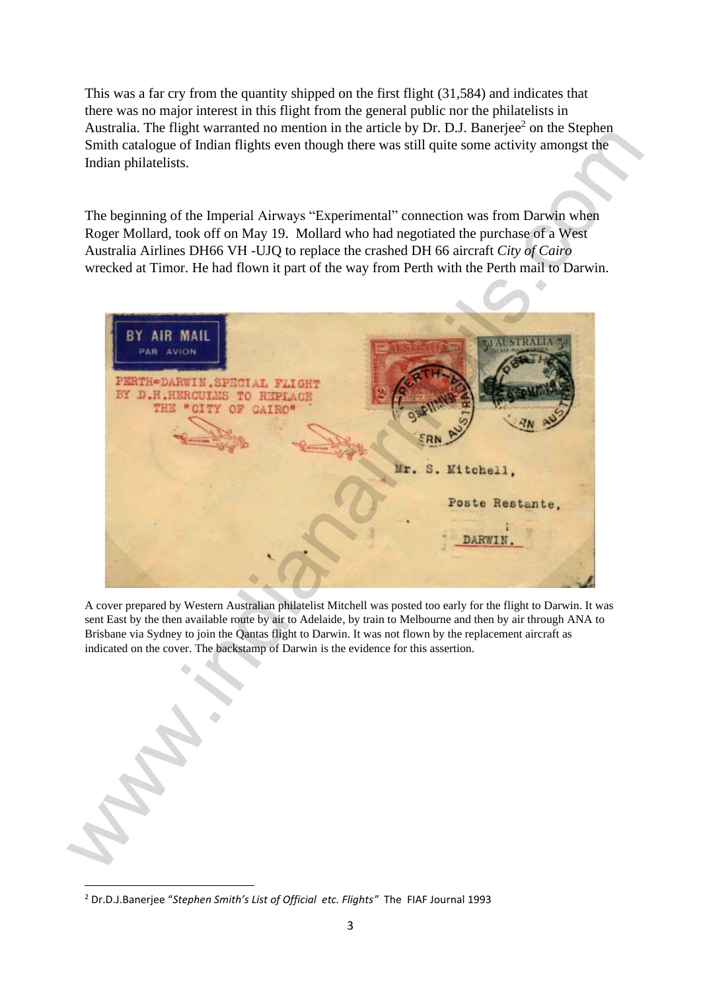This was a far cry from the quantity shipped on the first flight (31,584) and indicates that there was no major interest in this flight from the general public nor the philatelists in Australia. The flight warranted no mention in the article by Dr. D.J. Banerjee<sup>2</sup> on the Stephen Smith catalogue of Indian flights even though there was still quite some activity amongst the Indian philatelists.

The beginning of the Imperial Airways "Experimental" connection was from Darwin when Roger Mollard, took off on May 19. Mollard who had negotiated the purchase of a West Australia Airlines DH66 VH -UJQ to replace the crashed DH 66 aircraft *City of Cairo* wrecked at Timor. He had flown it part of the way from Perth with the Perth mail to Darwin.



A cover prepared by Western Australian philatelist Mitchell was posted too early for the flight to Darwin. It was sent East by the then available route by air to Adelaide, by train to Melbourne and then by air through ANA to Brisbane via Sydney to join the Qantas flight to Darwin. It was not flown by the replacement aircraft as indicated on the cover. The backstamp of Darwin is the evidence for this assertion.

<sup>2</sup> Dr.D.J.Banerje e "*Stephen Smith's List of Official etc. Flights"* The FIAF Journal 1993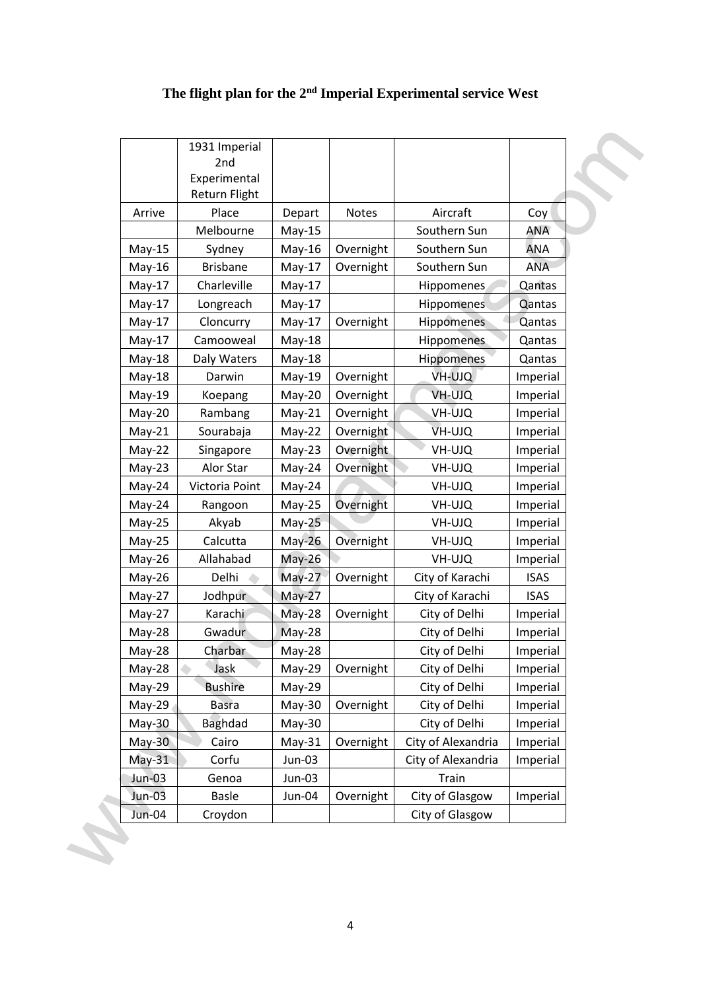|          | Experimental<br>Return Flight |          |           |                    |             |
|----------|-------------------------------|----------|-----------|--------------------|-------------|
| Arrive   | Place                         | Depart   | Notes     | Aircraft           | Coy         |
|          | Melbourne                     | $May-15$ |           | Southern Sun       | <b>ANA</b>  |
| $May-15$ | Sydney                        | $May-16$ | Overnight | Southern Sun       | <b>ANA</b>  |
| $May-16$ | <b>Brisbane</b>               | $May-17$ | Overnight | Southern Sun       | <b>ANA</b>  |
| $May-17$ | Charleville                   | $May-17$ |           | Hippomenes         | Qantas      |
| $May-17$ | Longreach                     | $May-17$ |           | <b>Hippomenes</b>  | Qantas      |
| $May-17$ | Cloncurry                     | $May-17$ | Overnight | Hippomenes         | Qantas      |
| $May-17$ | Camooweal                     | May-18   |           | Hippomenes         | Qantas      |
| $May-18$ | Daly Waters                   | May-18   |           | Hippomenes         | Qantas      |
| $May-18$ | Darwin                        | May-19   | Overnight | VH-UJQ             | Imperial    |
| $May-19$ | Koepang                       | May-20   | Overnight | VH-UJQ             | Imperial    |
| $May-20$ | Rambang                       | $May-21$ | Overnight | VH-UJQ             | Imperial    |
| $May-21$ | Sourabaja                     | $May-22$ | Overnight | VH-UJQ             | Imperial    |
| $May-22$ | Singapore                     | $May-23$ | Overnight | VH-UJQ             | Imperial    |
| $May-23$ | Alor Star                     | May-24   | Overnight | VH-UJQ             | Imperial    |
| May-24   | Victoria Point                | May-24   |           | VH-UJQ             | Imperial    |
| May-24   | Rangoon                       | $May-25$ | Overnight | VH-UJQ             | Imperial    |
| $May-25$ | Akyab                         | $May-25$ |           | VH-UJQ             | Imperial    |
| $May-25$ | Calcutta                      | $May-26$ | Overnight | VH-UJQ             | Imperial    |
| May-26   | Allahabad                     | May-26   |           | VH-UJQ             | Imperial    |
| May-26   | Delhi                         | $May-27$ | Overnight | City of Karachi    | <b>ISAS</b> |
| $May-27$ | Jodhpur                       | $May-27$ |           | City of Karachi    | <b>ISAS</b> |
| $May-27$ | Karachi                       | $May-28$ | Overnight | City of Delhi      | Imperial    |
| May-28   | Gwadur                        | $May-28$ |           | City of Delhi      | Imperial    |
| May-28   | Charbar                       | May-28   |           | City of Delhi      | Imperial    |
| May-28   | Jask                          | May-29   | Overnight | City of Delhi      | Imperial    |
| May-29   | <b>Bushire</b>                | May-29   |           | City of Delhi      | Imperial    |
| May-29   | <b>Basra</b>                  | May-30   | Overnight | City of Delhi      | Imperial    |
| $May-30$ | <b>Baghdad</b>                | May-30   |           | City of Delhi      | Imperial    |
| $May-30$ | Cairo                         | $May-31$ | Overnight | City of Alexandria | Imperial    |
| $May-31$ | Corfu                         | Jun-03   |           | City of Alexandria | Imperial    |
| Jun-03   | Genoa                         | Jun-03   |           | Train              |             |
| $Jun-03$ | <b>Basle</b>                  | Jun-04   | Overnight | City of Glasgow    | Imperial    |
| Jun-04   | Croydon                       |          |           | City of Glasgow    |             |

# **The flight plan for the 2nd Imperial Experimental service West**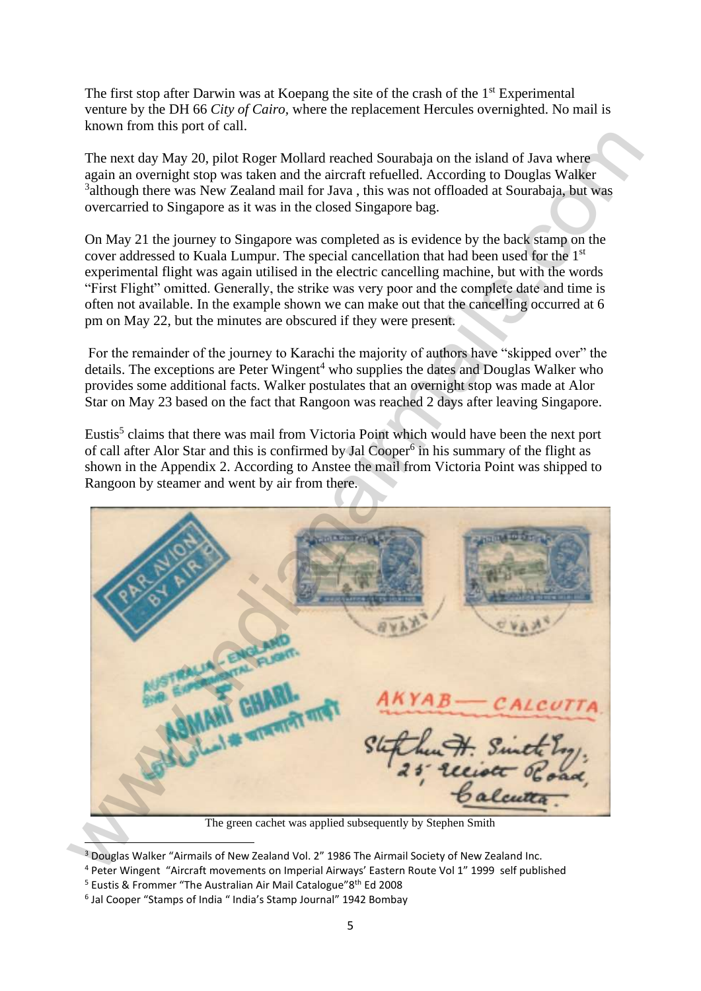The first stop after Darwin was at Koepang the site of the crash of the 1<sup>st</sup> Experimental venture by the DH 66 *City of Cairo,* where the replacement Hercules overnighted. No mail is known from this port of call.

The next day May 20, pilot Roger Mollard reached Sourabaja on the island of Java where again an overnight stop was taken and the aircraft refuelled. According to Douglas Walker <sup>3</sup>although there was New Zealand mail for Java, this was not offloaded at Sourabaja, but was overcarried to Singapore as it was in the closed Singapore bag.

On May 21 the journey to Singapore was completed as is evidence by the back stamp on the cover addressed to Kuala Lumpur. The special cancellation that had been used for the 1st experimental flight was again utilised in the electric cancelling machine, but with the words "First Flight" omitted. Generally, the strike was very poor and the complete date and time is often not available. In the example shown we can make out that the cancelling occurred at 6 pm on May 22, but the minutes are obscured if they were present.

For the remainder of the journey to Karachi the majority of authors have "skipped over" the details. The exceptions are Peter Wingent<sup>4</sup> who supplies the dates and Douglas Walker who provides some additional facts. Walker postulates that an overnight stop was made at Alor Star on May 23 based on the fact that Rangoon was reached 2 days after leaving Singapore.

Eustis<sup>5</sup> claims that there was mail from Victoria Point which would have been the next port of call after Alor Star and this is confirmed by Jal Cooper $<sup>6</sup>$  in his summary of the flight as</sup> shown in the Appendix 2. According to Anstee the mail from Victoria Point was shipped to Rangoon by steamer and went by air from there.

The next day My 20, pilot Reger Moltard etched Sourchesia on the island of Java where<br>the next day My 20, pilot Reger Moltard reached Sourchesia on the island of Java where<br>the animon overthered to Singapore as it was in

The green cachet was applied subsequently by Stephen Smith

<sup>&</sup>lt;sup>3</sup> Douglas Walker "Airmails of New Zealand Vol. 2" 1986 The Airmail Society of New Zealand Inc.

<sup>4</sup> Peter Wingent "Aircraft movements on Imperial Airways' Eastern Route Vol 1" 1999 self published

<sup>&</sup>lt;sup>5</sup> Eustis & Frommer "The Australian Air Mail Catalogue"8<sup>th</sup> Ed 2008

<sup>&</sup>lt;sup>6</sup> Jal Cooper "Stamps of India " India's Stamp Journal" 1942 Bombay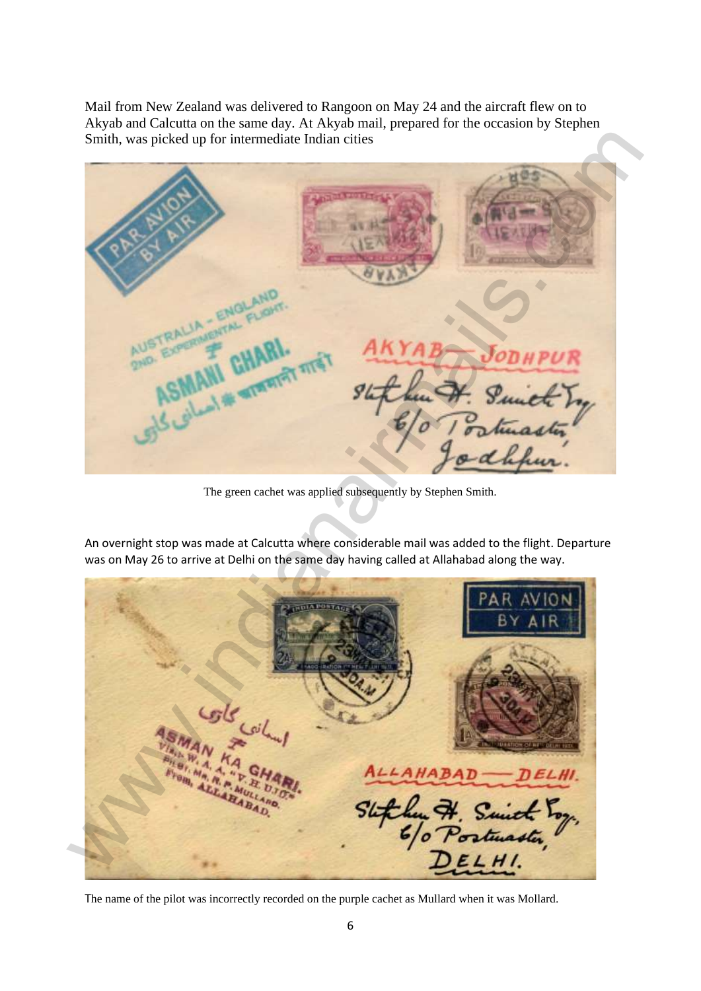Mail from New Zealand was delivered to Rangoon on May 24 and the aircraft flew on to Akyab and Calcutta on the same day. At Akyab mail, prepared for the occasion by Stephen Smith, was picked up for intermediate Indian cities

We can be a subject of the company of the company of the company of the company of the company of the company of the company of the company of the company of the company of the company of the company of the company of the

The green cachet was applied subsequently by Stephen Smith.

An overnight stop was made at Calcutta where considerable mail was added to the flight. Departure was on May 26 to arrive at Delhi on the same day having called at Allahabad along the way.

The name of the pilot was incorrectly recorded on the purple cachet as Mullard when it was Mollard.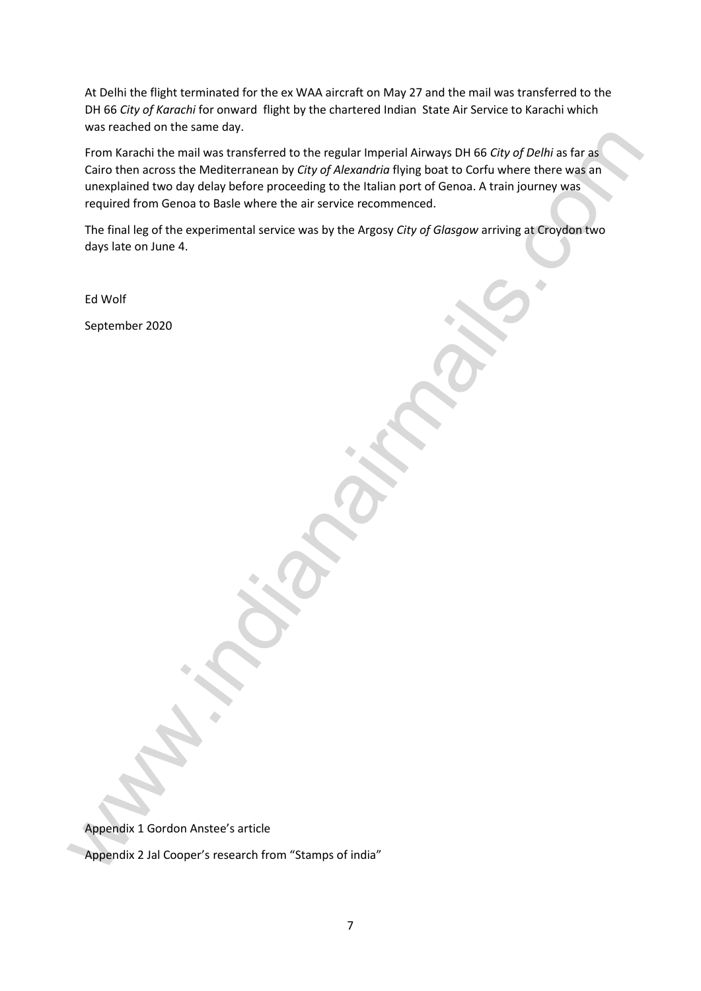At Delhi the flight terminated for the ex WAA aircraft on May 27 and the mail was transferred to the DH 66 *City of Karachi* for onward flight by the chartered Indian State Air Service to Karachi which was reached on the same day.

From Karachi the mail was transferred to the regular Imperial Airways DH 66 *City of Delhi* as far as Cairo then across the Mediterranean by *City of Alexandria* flying boat to Corfu where there was an unexplained two day delay before proceeding to the Italian port of Genoa. A train journey was required from Genoa to Basle where the air service recommenced. We can be a considered to the regular imperial Atiways DH BS CITy of Delhi as far as<br>
Cairo then a cross the Medicirramean by City of Adecandro flying boat to Grid where there are a<br>
currectioned two day delay before proce

The final leg of the experimental service was by the Argosy *City of Glasgow* arriving at Croydon two days late on June 4.

Ed Wolf

September 2020

Appendix 1 Gordon Anstee's article

Appendix 2 Jal Cooper's research from "Stamps of india"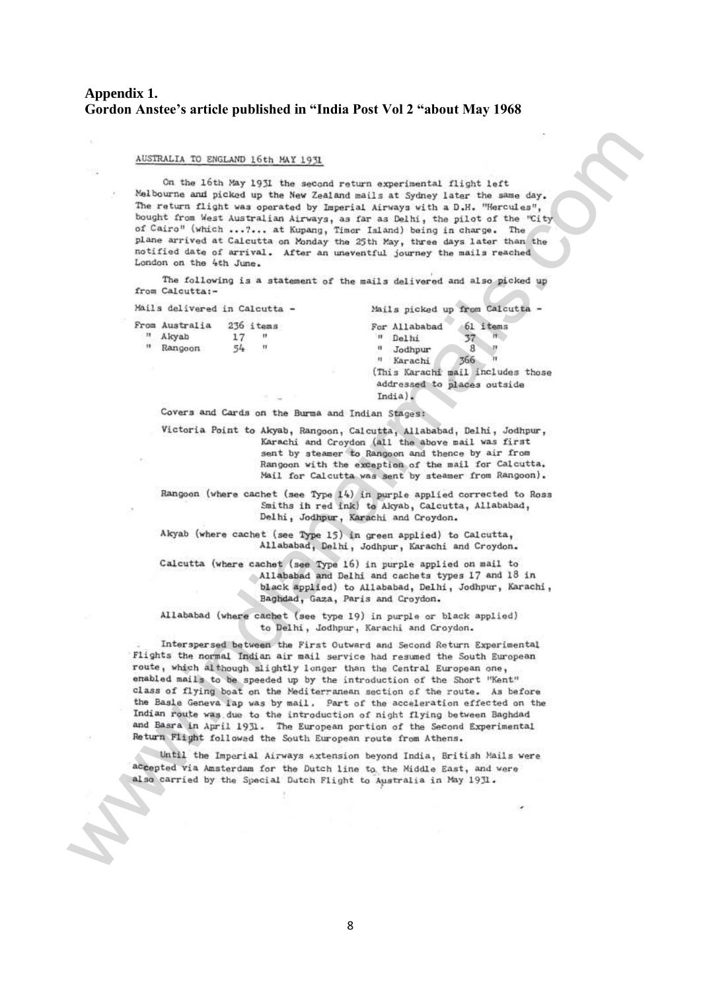### **Appendix 1. Gordon Anstee's article published in "India Post Vol 2 "about May 1968**

AUSTRALLA TO ENELAID (161 NAT13-31<br>
Nell'oronta dei pictologo (161 NAT13-32<br>
Nell'oronta dei pictologo (161 NAT13-32<br>
Nell'oronta dei pictologo (161 NAT14-11 Alexanda dei la activa dei pictologo (161 NAT14-11 Alexanda dei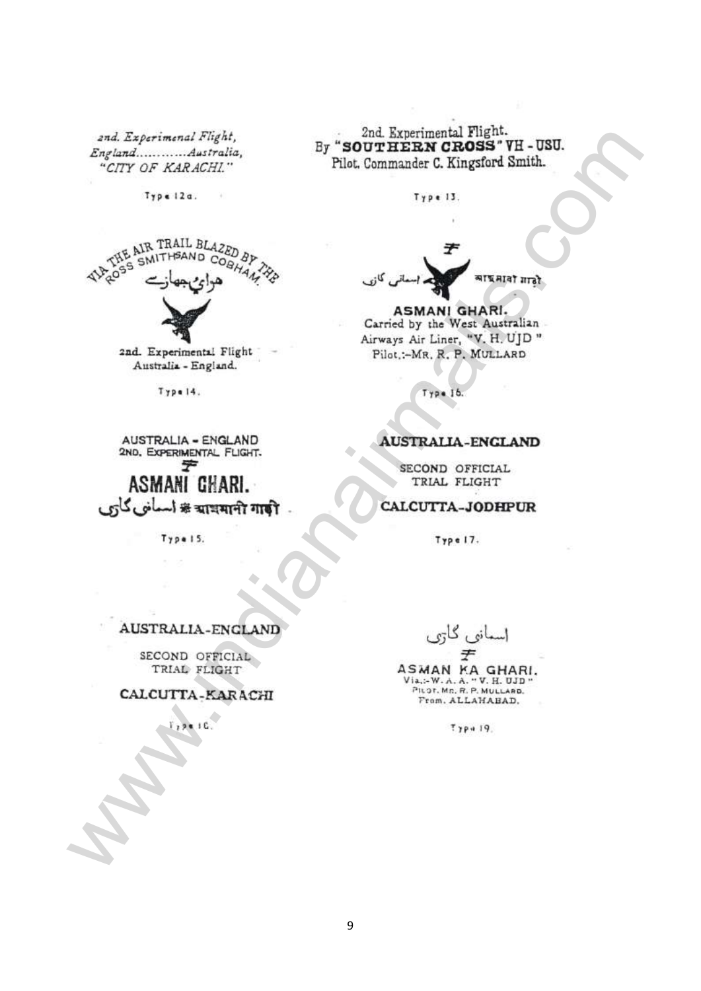exis Zepterman Fight.<br>
Septerman Antonian Fight.<br>  $\frac{1}{2}$  and  $\frac{1}{2}$  and  $\frac{1}{2}$  and  $\frac{1}{2}$  and  $\frac{1}{2}$  and  $\frac{1}{2}$  and  $\frac{1}{2}$  and  $\frac{1}{2}$  and  $\frac{1}{2}$  and  $\frac{1}{2}$  and  $\frac{1}{2}$  and  $\frac{1}{2}$  and  $\frac$